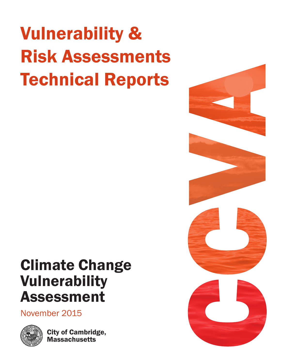# Vulnerability & Risk Assessments Technical Reports

# Climate Change Vulnerability Assessment

November 2015



City of Cambridge, **Massachusetts** 

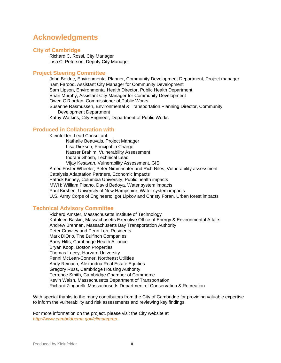### **Acknowledgments**

#### **City of Cambridge**

Richard C. Rossi, City Manager Lisa C. Peterson, Deputy City Manager

#### **Project Steering Committee**

John Bolduc, Environmental Planner, Community Development Department, Project manager Iram Farooq, Assistant City Manager for Community Development Sam Lipson, Environmental Health Director, Public Health Department Brian Murphy, Assistant City Manager for Community Development Owen O'Riordan, Commissioner of Public Works Susanne Rasmussen, Environmental & Transportation Planning Director, Community Development Department Kathy Watkins, City Engineer, Department of Public Works

#### **Produced in Collaboration with**

Kleinfelder, Lead Consultant Nathalie Beauvais, Project Manager Lisa Dickson, Principal in Charge Nasser Brahim, Vulnerability Assessment Indrani Ghosh, Technical Lead Vijay Kesavan, Vulnerability Assessment, GIS Amec Foster Wheeler; Peter Nimmrichter and Rich Niles, Vulnerability assessment Catalysis Adaptation Partners, Economic impacts Patrick Kinney, Columbia University, Public health impacts MWH; William Pisano, David Bedoya, Water system impacts Paul Kirshen, University of New Hampshire, Water system impacts U.S. Army Corps of Engineers; Igor Lipkov and Christy Foran, Urban forest impacts

#### **Technical Advisory Committee**

Richard Amster, Massachusetts Institute of Technology Kathleen Baskin, Massachusetts Executive Office of Energy & Environmental Affairs Andrew Brennan, Massachusetts Bay Transportation Authority Peter Crawley and Penn Loh, Residents Mark DiOrio, The Bulfinch Companies Barry Hilts, Cambridge Health Alliance Bryan Koop, Boston Properties Thomas Lucey, Harvard University Penni McLean-Conner, Northeast Utilities Andy Reinach, Alexandria Real Estate Equities Gregory Russ, Cambridge Housing Authority Terrence Smith, Cambridge Chamber of Commerce Kevin Walsh, Massachusetts Department of Transportation Richard Zingarelli, Massachusetts Department of Conservation & Recreation

With special thanks to the many contributors from the City of Cambridge for providing valuable expertise to inform the vulnerability and risk assessments and reviewing key findings.

For more information on the project, please visit the City website at *http://www.cambridgema.gov/climateprep*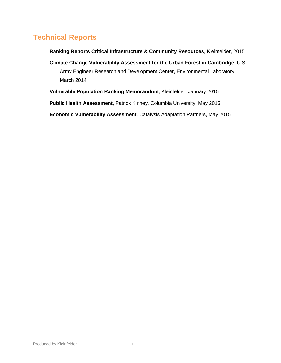## **Technical Reports**

**Ranking Reports Critical Infrastructure & Community Resources**, Kleinfelder, 2015

- **Climate Change Vulnerability Assessment for the Urban Forest in Cambridge**. U.S. Army Engineer Research and Development Center, Environmental Laboratory, March 2014
- **Vulnerable Population Ranking Memorandum**, Kleinfelder, January 2015
- **Public Health Assessment**, Patrick Kinney, Columbia University, May 2015

**Economic Vulnerability Assessment**, Catalysis Adaptation Partners, May 2015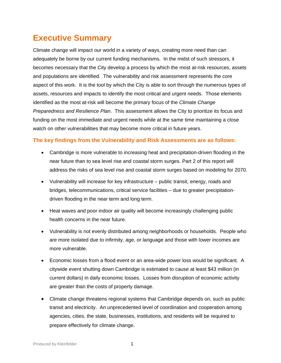# **Executive Summary**

Climate change will impact our world in a variety of ways, creating more need than can adequately be borne by our current funding mechanisms. In the midst of such stressors, it becomes necessary that the City develop a process by which the most at-risk resources, assets and populations are identified. The vulnerability and risk assessment represents the core aspect of this work. It is the tool by which the City is able to sort through the numerous types of assets, resources and impacts to identify the most critical and urgent needs. Those elements identified as the most at-risk will become the primary focus of the *Climate Change Preparedness and Resilience Plan*. This assessment allows the City to prioritize its focus and funding on the most immediate and urgent needs while at the same time maintaining a close watch on other vulnerabilities that may become more critical in future years.

#### **The key findings from the Vulnerability and Risk Assessments are as follows:**

- Cambridge is more vulnerable to increasing heat and precipitation-driven flooding in the near future than to sea level rise and coastal storm surges. Part 2 of this report will address the risks of sea level rise and coastal storm surges based on modeling for 2070.
- Vulnerability will increase for key infrastructure public transit, energy, roads and bridges, telecommunications, critical service facilities – due to greater precipitationdriven flooding in the near term and long term.
- Heat waves and poor indoor air quality will become increasingly challenging public health concerns in the near future.
- Vulnerability is not evenly distributed among neighborhoods or households. People who are more isolated due to infirmity, age, or language and those with lower incomes are more vulnerable.
- Economic losses from a flood event or an area-wide power loss would be significant. A citywide event shutting down Cambridge is estimated to cause at least \$43 million (in current dollars) in daily economic losses. Losses from disruption of economic activity are greater than the costs of property damage.
- Climate change threatens regional systems that Cambridge depends on, such as public transit and electricity. An unprecedented level of coordination and cooperation among agencies, cities, the state, businesses, institutions, and residents will be required to prepare effectively for climate change.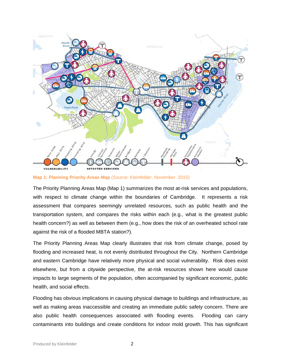

**Map 1: Planning Priority Areas Map** (Source: Kleinfelder, November 2015)

The Priority Planning Areas Map (Map 1) summarizes the most at-risk services and populations, with respect to climate change within the boundaries of Cambridge. It represents a risk assessment that compares seemingly unrelated resources, such as public health and the transportation system, and compares the risks within each (e.g., what is the greatest public health concern?) as well as between them (e.g., how does the risk of an overheated school rate against the risk of a flooded MBTA station?).

The Priority Planning Areas Map clearly illustrates that risk from climate change, posed by flooding and increased heat, is not evenly distributed throughout the City. Northern Cambridge and eastern Cambridge have relatively more physical and social vulnerability. Risk does exist elsewhere, but from a citywide perspective, the at-risk resources shown here would cause impacts to large segments of the population, often accompanied by significant economic, public health, and social effects.

Flooding has obvious implications in causing physical damage to buildings and infrastructure, as well as making areas inaccessible and creating an immediate public safety concern. There are also public health consequences associated with flooding events. Flooding can carry contaminants into buildings and create conditions for indoor mold growth. This has significant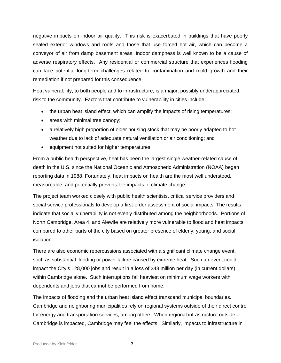negative impacts on indoor air quality. This risk is exacerbated in buildings that have poorly sealed exterior windows and roofs and those that use forced hot air, which can become a conveyor of air from damp basement areas. Indoor dampness is well known to be a cause of adverse respiratory effects. Any residential or commercial structure that experiences flooding can face potential long-term challenges related to contamination and mold growth and their remediation if not prepared for this consequence.

Heat vulnerability, to both people and to infrastructure, is a major, possibly underappreciated, risk to the community. Factors that contribute to vulnerability in cities include:

- the urban heat island effect, which can amplify the impacts of rising temperatures;
- areas with minimal tree canopy;
- a relatively high proportion of older housing stock that may be poorly adapted to hot weather due to lack of adequate natural ventilation or air conditioning; and
- equipment not suited for higher temperatures.

From a public health perspective, heat has been the largest single weather-related cause of death in the U.S. since the National Oceanic and Atmospheric Administration (NOAA) began reporting data in 1988. Fortunately, heat impacts on health are the most well understood, measureable, and potentially preventable impacts of climate change.

The project team worked closely with public health scientists, critical service providers and social service professionals to develop a first-order assessment of social impacts. The results indicate that social vulnerability is not evenly distributed among the neighborhoods. Portions of North Cambridge, Area 4, and Alewife are relatively more vulnerable to flood and heat impacts compared to other parts of the city based on greater presence of elderly, young, and social isolation.

There are also economic repercussions associated with a significant climate change event, such as substantial flooding or power failure caused by extreme heat. Such an event could impact the City's 128,000 jobs and result in a loss of \$43 million per day (in current dollars) within Cambridge alone. Such interruptions fall heaviest on minimum wage workers with dependents and jobs that cannot be performed from home.

The impacts of flooding and the urban heat island effect transcend municipal boundaries. Cambridge and neighboring municipalities rely on regional systems outside of their direct control for energy and transportation services, among others. When regional infrastructure outside of Cambridge is impacted, Cambridge may feel the effects. Similarly, impacts to infrastructure in